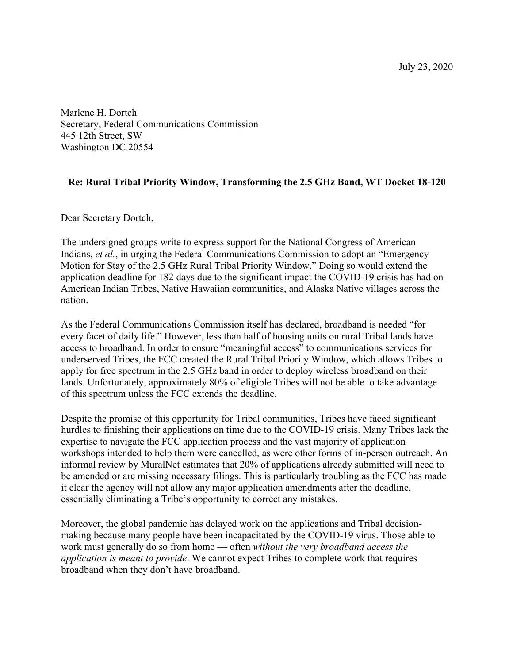July 23, 2020

Marlene H. Dortch Secretary, Federal Communications Commission 445 12th Street, SW Washington DC 20554

## **Re: Rural Tribal Priority Window, Transforming the 2.5 GHz Band, WT Docket 18-120**

Dear Secretary Dortch,

The undersigned groups write to express support for the National Congress of American Indians, *et al.*, in urging the Federal Communications Commission to adopt an "Emergency" Motion for Stay of the 2.5 GHz Rural Tribal Priority Window." Doing so would extend the application deadline for 182 days due to the significant impact the COVID-19 crisis has had on American Indian Tribes, Native Hawaiian communities, and Alaska Native villages across the nation.

As the Federal Communications Commission itself has declared, broadband is needed "for every facet of daily life." However, less than half of housing units on rural Tribal lands have access to broadband. In order to ensure "meaningful access" to communications services for underserved Tribes, the FCC created the Rural Tribal Priority Window, which allows Tribes to apply for free spectrum in the 2.5 GHz band in order to deploy wireless broadband on their lands. Unfortunately, approximately 80% of eligible Tribes will not be able to take advantage of this spectrum unless the FCC extends the deadline.

Despite the promise of this opportunity for Tribal communities, Tribes have faced significant hurdles to finishing their applications on time due to the COVID-19 crisis. Many Tribes lack the expertise to navigate the FCC application process and the vast majority of application workshops intended to help them were cancelled, as were other forms of in-person outreach. An informal review by MuralNet estimates that 20% of applications already submitted will need to be amended or are missing necessary filings. This is particularly troubling as the FCC has made it clear the agency will not allow any major application amendments after the deadline, essentially eliminating a Tribe's opportunity to correct any mistakes.

Moreover, the global pandemic has delayed work on the applications and Tribal decisionmaking because many people have been incapacitated by the COVID-19 virus. Those able to work must generally do so from home — often *without the very broadband access the application is meant to provide*. We cannot expect Tribes to complete work that requires broadband when they don't have broadband.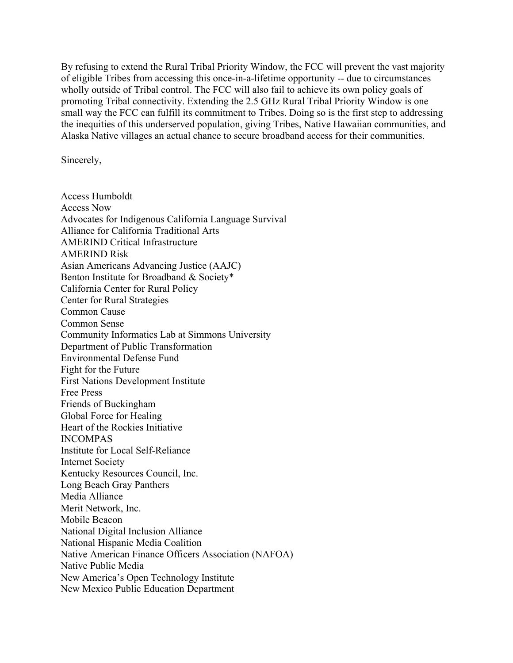By refusing to extend the Rural Tribal Priority Window, the FCC will prevent the vast majority of eligible Tribes from accessing this once-in-a-lifetime opportunity -- due to circumstances wholly outside of Tribal control. The FCC will also fail to achieve its own policy goals of promoting Tribal connectivity. Extending the 2.5 GHz Rural Tribal Priority Window is one small way the FCC can fulfill its commitment to Tribes. Doing so is the first step to addressing the inequities of this underserved population, giving Tribes, Native Hawaiian communities, and Alaska Native villages an actual chance to secure broadband access for their communities.

Sincerely,

Access Humboldt Access Now Advocates for Indigenous California Language Survival Alliance for California Traditional Arts AMERIND Critical Infrastructure AMERIND Risk Asian Americans Advancing Justice (AAJC) Benton Institute for Broadband & Society\* California Center for Rural Policy Center for Rural Strategies Common Cause Common Sense Community Informatics Lab at Simmons University Department of Public Transformation Environmental Defense Fund Fight for the Future First Nations Development Institute Free Press Friends of Buckingham Global Force for Healing Heart of the Rockies Initiative INCOMPAS Institute for Local Self-Reliance Internet Society Kentucky Resources Council, Inc. Long Beach Gray Panthers Media Alliance Merit Network, Inc. Mobile Beacon National Digital Inclusion Alliance National Hispanic Media Coalition Native American Finance Officers Association (NAFOA) Native Public Media New America's Open Technology Institute New Mexico Public Education Department